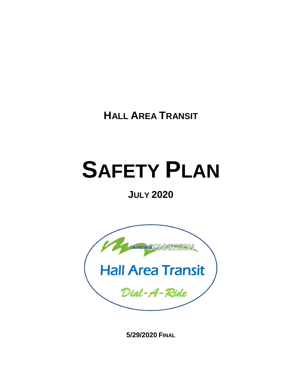**HALL AREA TRANSIT**

## **SAFETY PLAN**

## **JULY 2020**



**5/29/2020 FINAL**